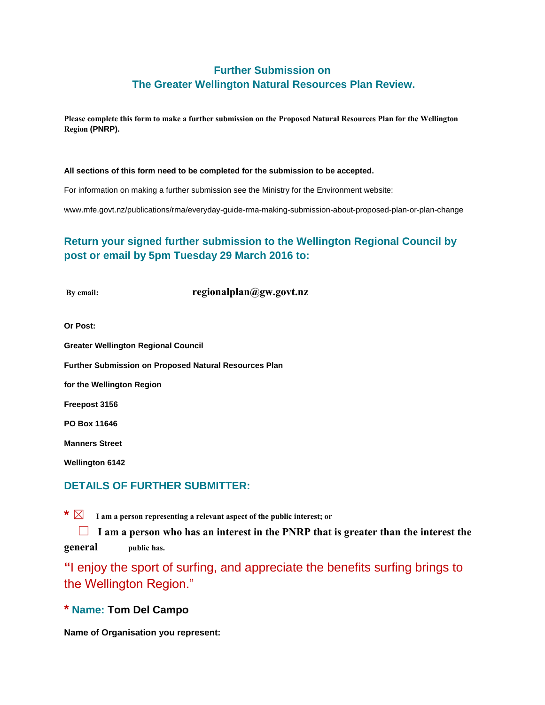# **Further Submission on The Greater Wellington Natural Resources Plan Review.**

**Please complete this form to make a further submission on the Proposed Natural Resources Plan for the Wellington Region (PNRP).**

#### **All sections of this form need to be completed for the submission to be accepted.**

For information on making a further submission see the Ministry for the Environment website:

www.mfe.govt.nz/publications/rma/everyday-guide-rma-making-submission-about-proposed-plan-or-plan-change

# **Return your signed further submission to the Wellington Regional Council by post or email by 5pm Tuesday 29 March 2016 to:**

**By email: regionalplan@gw.govt.nz** 

**Or Post:**

**Greater Wellington Regional Council**

**Further Submission on Proposed Natural Resources Plan** 

**for the Wellington Region** 

**Freepost 3156**

**PO Box 11646**

**Manners Street**

**Wellington 6142**

#### **DETAILS OF FURTHER SUBMITTER:**

**\*** ☒ **I am a person representing a relevant aspect of the public interest; or**

**□ I** am a person who has an interest in the PNRP that is greater than the interest the **general public has.** 

**"**I enjoy the sport of surfing, and appreciate the benefits surfing brings to the Wellington Region."

**\* Name: Tom Del Campo**

**Name of Organisation you represent:**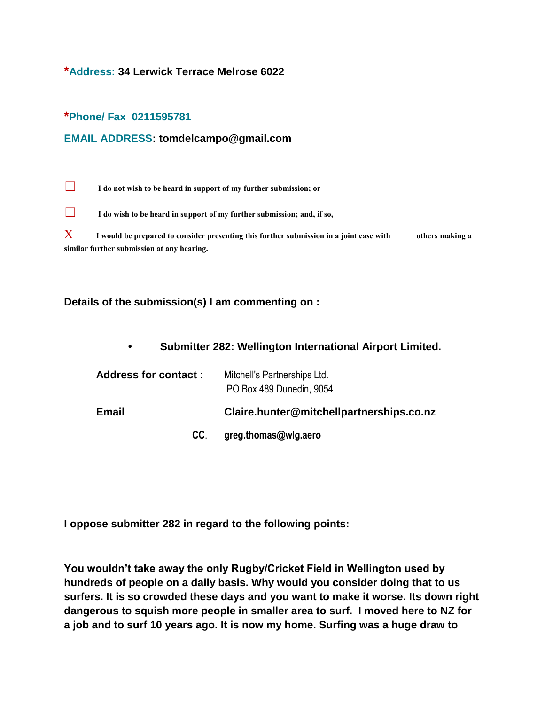## **\*Address: 34 Lerwick Terrace Melrose 6022**

#### **\*Phone/ Fax 0211595781**

#### **EMAIL ADDRESS: tomdelcampo@gmail.com**

☐ **I do not wish to be heard in support of my further submission; or**

☐ **I do wish to be heard in support of my further submission; and, if so,**

X **I would be prepared to consider presenting this further submission in a joint case with others making a similar further submission at any hearing.**

#### **Details of the submission(s) I am commenting on :**

|  | Submitter 282: Wellington International Airport Limited. |  |  |
|--|----------------------------------------------------------|--|--|
|--|----------------------------------------------------------|--|--|

| <b>Address for contact:</b> | Mitchell's Partnerships Ltd.<br>PO Box 489 Dunedin, 9054 |
|-----------------------------|----------------------------------------------------------|
| <b>Email</b>                | Claire.hunter@mitchellpartnerships.co.nz                 |
| CC.                         | greg.thomas@wlg.aero                                     |

**I oppose submitter 282 in regard to the following points:** 

**You wouldn't take away the only Rugby/Cricket Field in Wellington used by hundreds of people on a daily basis. Why would you consider doing that to us surfers. It is so crowded these days and you want to make it worse. Its down right dangerous to squish more people in smaller area to surf. I moved here to NZ for a job and to surf 10 years ago. It is now my home. Surfing was a huge draw to**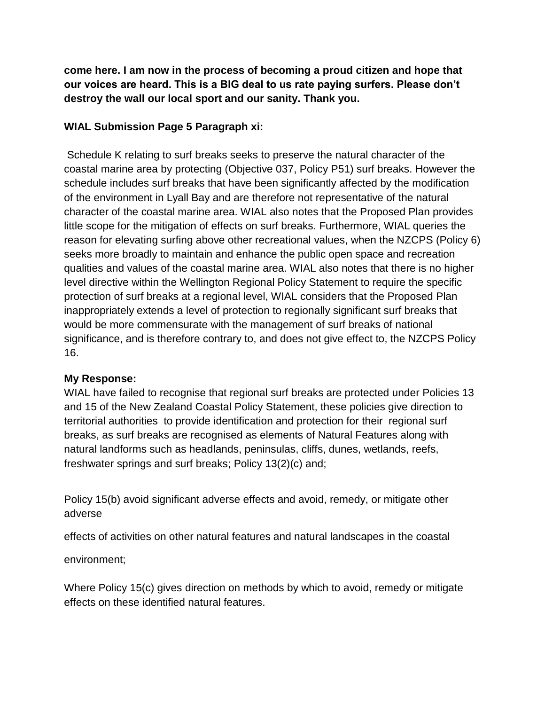**come here. I am now in the process of becoming a proud citizen and hope that our voices are heard. This is a BIG deal to us rate paying surfers. Please don't destroy the wall our local sport and our sanity. Thank you.**

# **WIAL Submission Page 5 Paragraph xi:**

Schedule K relating to surf breaks seeks to preserve the natural character of the coastal marine area by protecting (Objective 037, Policy P51) surf breaks. However the schedule includes surf breaks that have been significantly affected by the modification of the environment in Lyall Bay and are therefore not representative of the natural character of the coastal marine area. WIAL also notes that the Proposed Plan provides little scope for the mitigation of effects on surf breaks. Furthermore, WIAL queries the reason for elevating surfing above other recreational values, when the NZCPS (Policy 6) seeks more broadly to maintain and enhance the public open space and recreation qualities and values of the coastal marine area. WIAL also notes that there is no higher level directive within the Wellington Regional Policy Statement to require the specific protection of surf breaks at a regional level, WIAL considers that the Proposed Plan inappropriately extends a level of protection to regionally significant surf breaks that would be more commensurate with the management of surf breaks of national significance, and is therefore contrary to, and does not give effect to, the NZCPS Policy 16.

## **My Response:**

WIAL have failed to recognise that regional surf breaks are protected under Policies 13 and 15 of the New Zealand Coastal Policy Statement, these policies give direction to territorial authorities to provide identification and protection for their regional surf breaks, as surf breaks are recognised as elements of Natural Features along with natural landforms such as headlands, peninsulas, cliffs, dunes, wetlands, reefs, freshwater springs and surf breaks; Policy 13(2)(c) and;

Policy 15(b) avoid significant adverse effects and avoid, remedy, or mitigate other adverse

effects of activities on other natural features and natural landscapes in the coastal

environment;

Where Policy 15(c) gives direction on methods by which to avoid, remedy or mitigate effects on these identified natural features.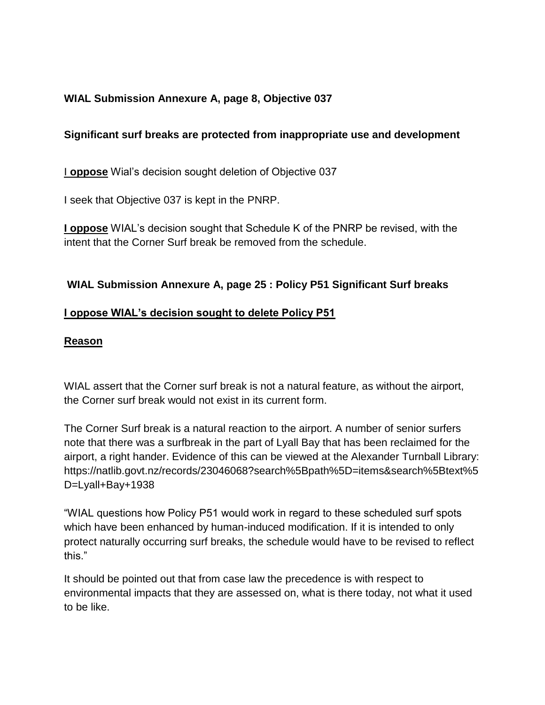# **WIAL Submission Annexure A, page 8, Objective 037**

# **Significant surf breaks are protected from inappropriate use and development**

I **oppose** Wial's decision sought deletion of Objective 037

I seek that Objective 037 is kept in the PNRP.

**I oppose** WIAL's decision sought that Schedule K of the PNRP be revised, with the intent that the Corner Surf break be removed from the schedule.

## **WIAL Submission Annexure A, page 25 : Policy P51 Significant Surf breaks**

## **I oppose WIAL's decision sought to delete Policy P51**

## **Reason**

WIAL assert that the Corner surf break is not a natural feature, as without the airport, the Corner surf break would not exist in its current form.

The Corner Surf break is a natural reaction to the airport. A number of senior surfers note that there was a surfbreak in the part of Lyall Bay that has been reclaimed for the airport, a right hander. Evidence of this can be viewed at the Alexander Turnball Library: https://natlib.govt.nz/records/23046068?search%5Bpath%5D=items&search%5Btext%5 D=Lyall+Bay+1938

"WIAL questions how Policy P51 would work in regard to these scheduled surf spots which have been enhanced by human-induced modification. If it is intended to only protect naturally occurring surf breaks, the schedule would have to be revised to reflect this."

It should be pointed out that from case law the precedence is with respect to environmental impacts that they are assessed on, what is there today, not what it used to be like.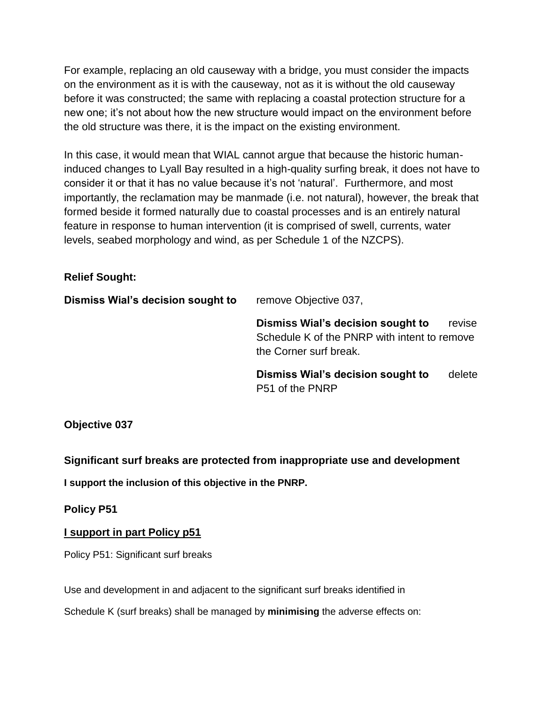For example, replacing an old causeway with a bridge, you must consider the impacts on the environment as it is with the causeway, not as it is without the old causeway before it was constructed; the same with replacing a coastal protection structure for a new one; it's not about how the new structure would impact on the environment before the old structure was there, it is the impact on the existing environment.

In this case, it would mean that WIAL cannot argue that because the historic humaninduced changes to Lyall Bay resulted in a high-quality surfing break, it does not have to consider it or that it has no value because it's not 'natural'. Furthermore, and most importantly, the reclamation may be manmade (i.e. not natural), however, the break that formed beside it formed naturally due to coastal processes and is an entirely natural feature in response to human intervention (it is comprised of swell, currents, water levels, seabed morphology and wind, as per Schedule 1 of the NZCPS).

## **Relief Sought:**

| Dismiss Wial's decision sought to | remove Objective 037,                                                                                       |        |  |
|-----------------------------------|-------------------------------------------------------------------------------------------------------------|--------|--|
|                                   | Dismiss Wial's decision sought to<br>Schedule K of the PNRP with intent to remove<br>the Corner surf break. | revise |  |
|                                   | Dismiss Wial's decision sought to<br>P51 of the PNRP                                                        | delete |  |

**Objective 037** 

**Significant surf breaks are protected from inappropriate use and development**

**I support the inclusion of this objective in the PNRP.**

**Policy P51**

# **I support in part Policy p51**

Policy P51: Significant surf breaks

Use and development in and adjacent to the significant surf breaks identified in

Schedule K (surf breaks) shall be managed by **minimising** the adverse effects on: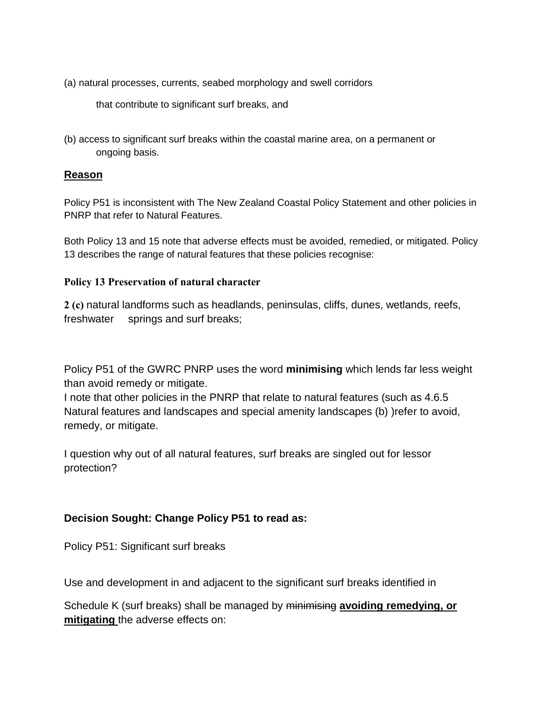(a) natural processes, currents, seabed morphology and swell corridors

that contribute to significant surf breaks, and

(b) access to significant surf breaks within the coastal marine area, on a permanent or ongoing basis.

## **Reason**

Policy P51 is inconsistent with The New Zealand Coastal Policy Statement and other policies in PNRP that refer to Natural Features.

Both Policy 13 and 15 note that adverse effects must be avoided, remedied, or mitigated. Policy 13 describes the range of natural features that these policies recognise:

#### **Policy 13 Preservation of natural character**

**2 (c)** natural landforms such as headlands, peninsulas, cliffs, dunes, wetlands, reefs, freshwater springs and surf breaks;

Policy P51 of the GWRC PNRP uses the word **minimising** which lends far less weight than avoid remedy or mitigate.

I note that other policies in the PNRP that relate to natural features (such as 4.6.5 Natural features and landscapes and special amenity landscapes (b) )refer to avoid, remedy, or mitigate.

I question why out of all natural features, surf breaks are singled out for lessor protection?

# **Decision Sought: Change Policy P51 to read as:**

Policy P51: Significant surf breaks

Use and development in and adjacent to the significant surf breaks identified in

Schedule K (surf breaks) shall be managed by minimising **avoiding remedying, or mitigating** the adverse effects on: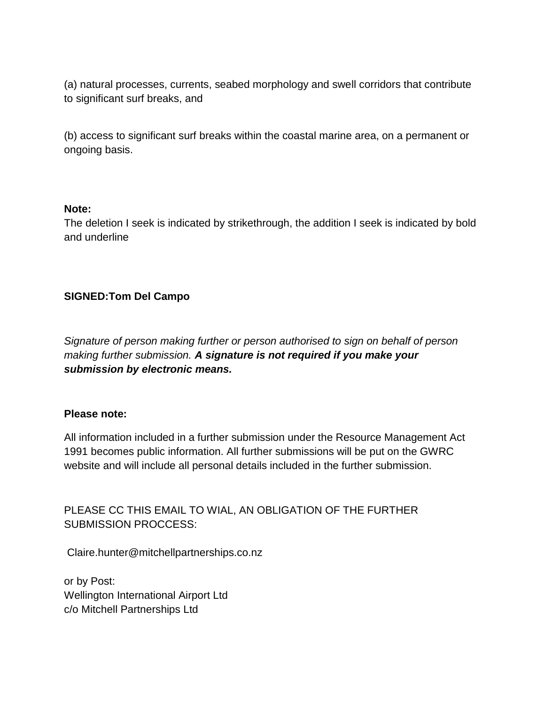(a) natural processes, currents, seabed morphology and swell corridors that contribute to significant surf breaks, and

(b) access to significant surf breaks within the coastal marine area, on a permanent or ongoing basis.

#### **Note:**

The deletion I seek is indicated by strikethrough, the addition I seek is indicated by bold and underline

# **SIGNED:Tom Del Campo**

*Signature of person making further or person authorised to sign on behalf of person making further submission. A signature is not required if you make your submission by electronic means.*

## **Please note:**

All information included in a further submission under the Resource Management Act 1991 becomes public information. All further submissions will be put on the GWRC website and will include all personal details included in the further submission.

PLEASE CC THIS EMAIL TO WIAL, AN OBLIGATION OF THE FURTHER SUBMISSION PROCCESS:

Claire.hunter@mitchellpartnerships.co.nz

or by Post: Wellington International Airport Ltd c/o Mitchell Partnerships Ltd